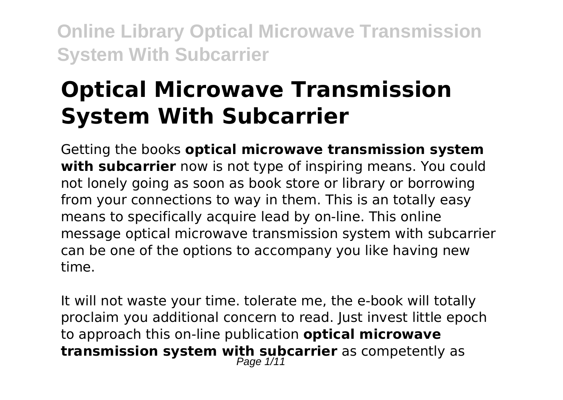# **Optical Microwave Transmission System With Subcarrier**

Getting the books **optical microwave transmission system with subcarrier** now is not type of inspiring means. You could not lonely going as soon as book store or library or borrowing from your connections to way in them. This is an totally easy means to specifically acquire lead by on-line. This online message optical microwave transmission system with subcarrier can be one of the options to accompany you like having new time.

It will not waste your time. tolerate me, the e-book will totally proclaim you additional concern to read. Just invest little epoch to approach this on-line publication **optical microwave transmission system with subcarrier** as competently as Page 1/11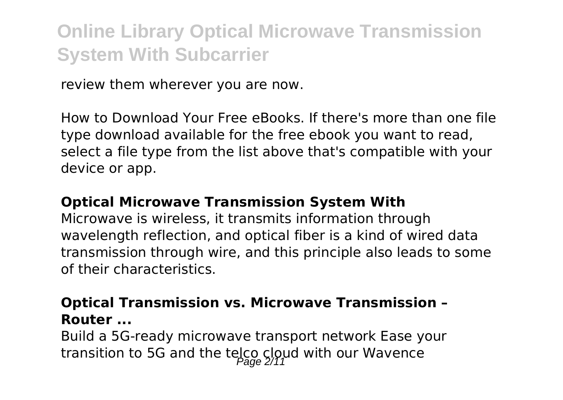review them wherever you are now.

How to Download Your Free eBooks. If there's more than one file type download available for the free ebook you want to read, select a file type from the list above that's compatible with your device or app.

#### **Optical Microwave Transmission System With**

Microwave is wireless, it transmits information through wavelength reflection, and optical fiber is a kind of wired data transmission through wire, and this principle also leads to some of their characteristics.

### **Optical Transmission vs. Microwave Transmission – Router ...**

Build a 5G-ready microwave transport network Ease your transition to 5G and the telco cloud with our Wavence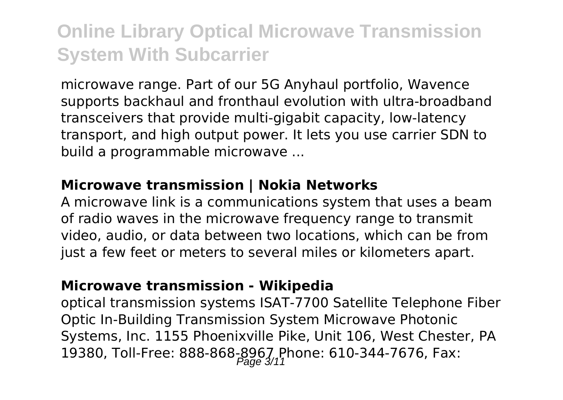microwave range. Part of our 5G Anyhaul portfolio, Wavence supports backhaul and fronthaul evolution with ultra-broadband transceivers that provide multi-gigabit capacity, low-latency transport, and high output power. It lets you use carrier SDN to build a programmable microwave ...

#### **Microwave transmission | Nokia Networks**

A microwave link is a communications system that uses a beam of radio waves in the microwave frequency range to transmit video, audio, or data between two locations, which can be from just a few feet or meters to several miles or kilometers apart.

#### **Microwave transmission - Wikipedia**

optical transmission systems ISAT-7700 Satellite Telephone Fiber Optic In-Building Transmission System Microwave Photonic Systems, Inc. 1155 Phoenixville Pike, Unit 106, West Chester, PA 19380, Toll-Free: 888-868-8967 Phone: 610-344-7676, Fax: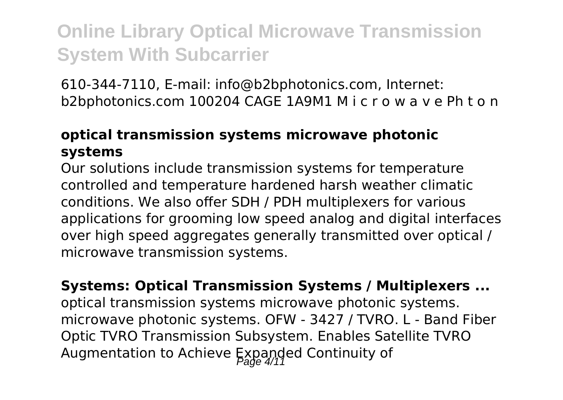610-344-7110, E-mail: info@b2bphotonics.com, Internet: b2bphotonics.com 100204 CAGE 1A9M1 M i c r o w a v e Ph t o n

### **optical transmission systems microwave photonic systems**

Our solutions include transmission systems for temperature controlled and temperature hardened harsh weather climatic conditions. We also offer SDH / PDH multiplexers for various applications for grooming low speed analog and digital interfaces over high speed aggregates generally transmitted over optical / microwave transmission systems.

**Systems: Optical Transmission Systems / Multiplexers ...** optical transmission systems microwave photonic systems. microwave photonic systems. OFW - 3427 / TVRO. L - Band Fiber Optic TVRO Transmission Subsystem. Enables Satellite TVRO Augmentation to Achieve Expanded Continuity of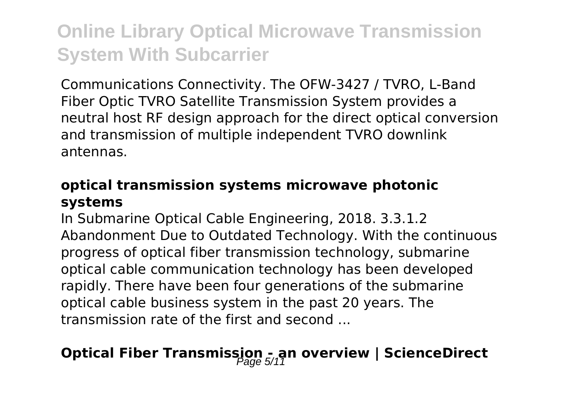Communications Connectivity. The OFW-3427 / TVRO, L-Band Fiber Optic TVRO Satellite Transmission System provides a neutral host RF design approach for the direct optical conversion and transmission of multiple independent TVRO downlink antennas.

#### **optical transmission systems microwave photonic systems**

In Submarine Optical Cable Engineering, 2018. 3.3.1.2 Abandonment Due to Outdated Technology. With the continuous progress of optical fiber transmission technology, submarine optical cable communication technology has been developed rapidly. There have been four generations of the submarine optical cable business system in the past 20 years. The transmission rate of the first and second ...

### **Optical Fiber Transmission - an overview | ScienceDirect**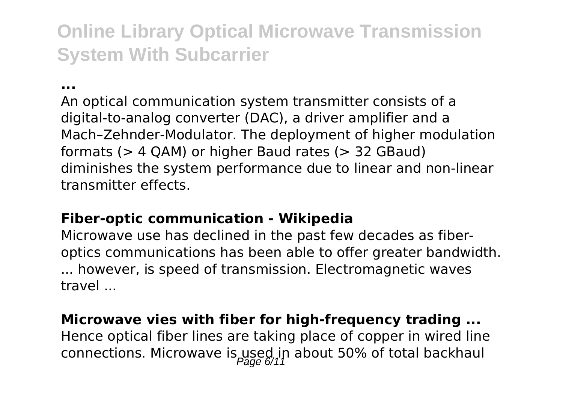**...**

An optical communication system transmitter consists of a digital-to-analog converter (DAC), a driver amplifier and a Mach–Zehnder-Modulator. The deployment of higher modulation formats (> 4 QAM) or higher Baud rates (> 32 GBaud) diminishes the system performance due to linear and non-linear transmitter effects.

### **Fiber-optic communication - Wikipedia**

Microwave use has declined in the past few decades as fiberoptics communications has been able to offer greater bandwidth. ... however, is speed of transmission. Electromagnetic waves travel ...

#### **Microwave vies with fiber for high-frequency trading ...**

Hence optical fiber lines are taking place of copper in wired line connections. Microwave is used in about 50% of total backhaul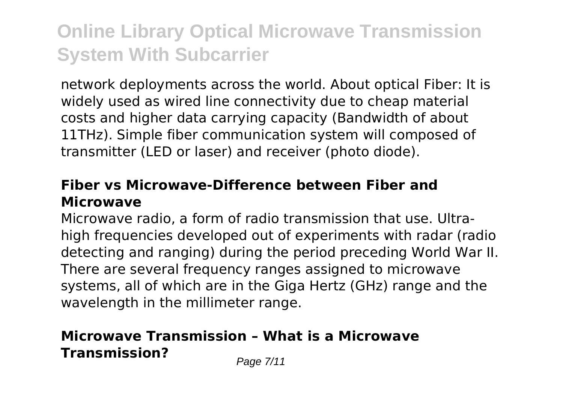network deployments across the world. About optical Fiber: It is widely used as wired line connectivity due to cheap material costs and higher data carrying capacity (Bandwidth of about 11THz). Simple fiber communication system will composed of transmitter (LED or laser) and receiver (photo diode).

#### **Fiber vs Microwave-Difference between Fiber and Microwave**

Microwave radio, a form of radio transmission that use. Ultrahigh frequencies developed out of experiments with radar (radio detecting and ranging) during the period preceding World War II. There are several frequency ranges assigned to microwave systems, all of which are in the Giga Hertz (GHz) range and the wavelength in the millimeter range.

### **Microwave Transmission – What is a Microwave Transmission?** Page 7/11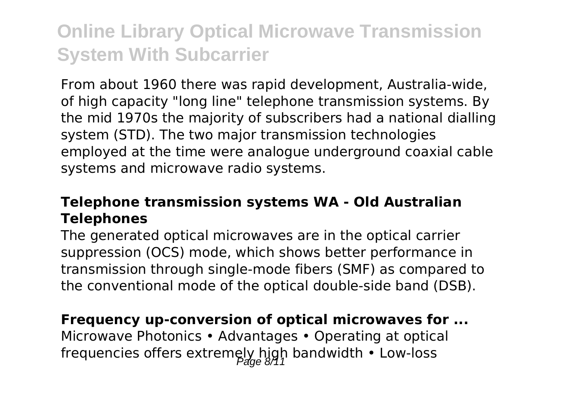From about 1960 there was rapid development, Australia-wide, of high capacity "long line" telephone transmission systems. By the mid 1970s the majority of subscribers had a national dialling system (STD). The two major transmission technologies employed at the time were analogue underground coaxial cable systems and microwave radio systems.

### **Telephone transmission systems WA - Old Australian Telephones**

The generated optical microwaves are in the optical carrier suppression (OCS) mode, which shows better performance in transmission through single-mode fibers (SMF) as compared to the conventional mode of the optical double-side band (DSB).

#### **Frequency up-conversion of optical microwaves for ...**

Microwave Photonics • Advantages • Operating at optical frequencies offers extremely high bandwidth  $\cdot$  Low-loss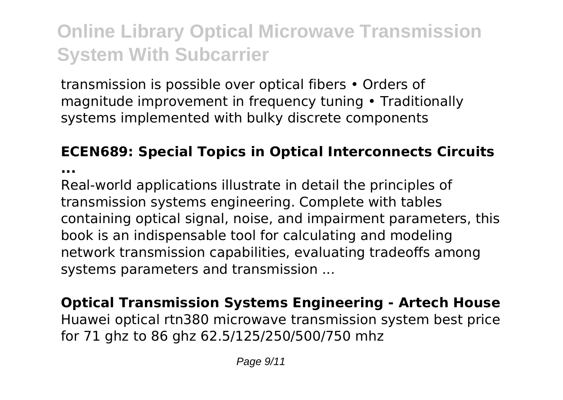transmission is possible over optical fibers • Orders of magnitude improvement in frequency tuning • Traditionally systems implemented with bulky discrete components

### **ECEN689: Special Topics in Optical Interconnects Circuits**

**...**

Real-world applications illustrate in detail the principles of transmission systems engineering. Complete with tables containing optical signal, noise, and impairment parameters, this book is an indispensable tool for calculating and modeling network transmission capabilities, evaluating tradeoffs among systems parameters and transmission ...

**Optical Transmission Systems Engineering - Artech House** Huawei optical rtn380 microwave transmission system best price for 71 ghz to 86 ghz 62.5/125/250/500/750 mhz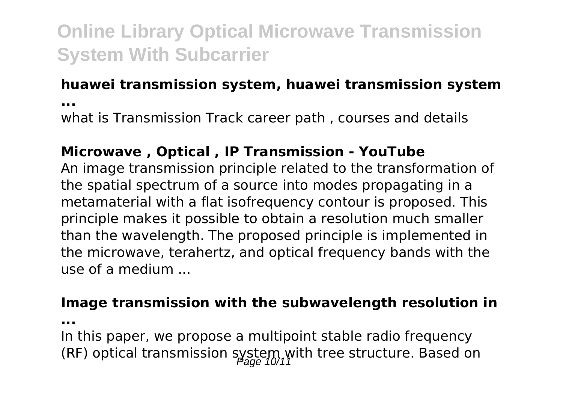### **huawei transmission system, huawei transmission system**

**...**

what is Transmission Track career path , courses and details

### **Microwave , Optical , IP Transmission - YouTube**

An image transmission principle related to the transformation of the spatial spectrum of a source into modes propagating in a metamaterial with a flat isofrequency contour is proposed. This principle makes it possible to obtain a resolution much smaller than the wavelength. The proposed principle is implemented in the microwave, terahertz, and optical frequency bands with the use of a medium ...

#### **Image transmission with the subwavelength resolution in**

**...**

In this paper, we propose a multipoint stable radio frequency (RF) optical transmission system with tree structure. Based on